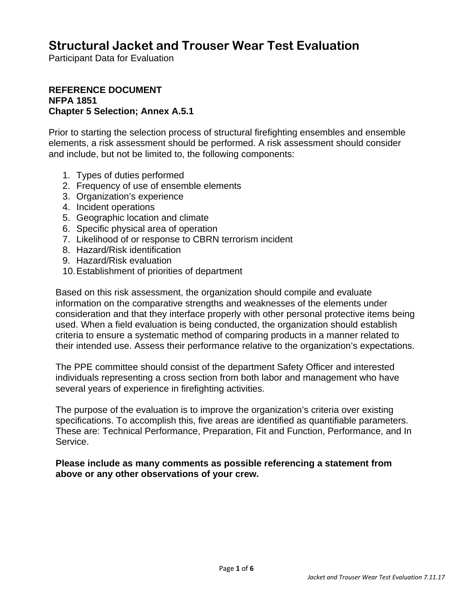## **Structural Jacket and Trouser Wear Test Evaluation**

Participant Data for Evaluation

#### **REFERENCE DOCUMENT NFPA 1851 Chapter 5 Selection; Annex A.5.1**

Prior to starting the selection process of structural firefighting ensembles and ensemble elements, a risk assessment should be performed. A risk assessment should consider and include, but not be limited to, the following components:

- 1. Types of duties performed
- 2. Frequency of use of ensemble elements
- 3. Organization's experience
- 4. Incident operations
- 5. Geographic location and climate
- 6. Specific physical area of operation
- 7. Likelihood of or response to CBRN terrorism incident
- 8. Hazard/Risk identification
- 9. Hazard/Risk evaluation
- 10. Establishment of priorities of department

Based on this risk assessment, the organization should compile and evaluate information on the comparative strengths and weaknesses of the elements under consideration and that they interface properly with other personal protective items being used. When a field evaluation is being conducted, the organization should establish criteria to ensure a systematic method of comparing products in a manner related to their intended use. Assess their performance relative to the organization's expectations.

The PPE committee should consist of the department Safety Officer and interested individuals representing a cross section from both labor and management who have several years of experience in firefighting activities.

The purpose of the evaluation is to improve the organization's criteria over existing specifications. To accomplish this, five areas are identified as quantifiable parameters. These are: Technical Performance, Preparation, Fit and Function, Performance, and In Service.

**Please include as many comments as possible referencing a statement from above or any other observations of your crew.**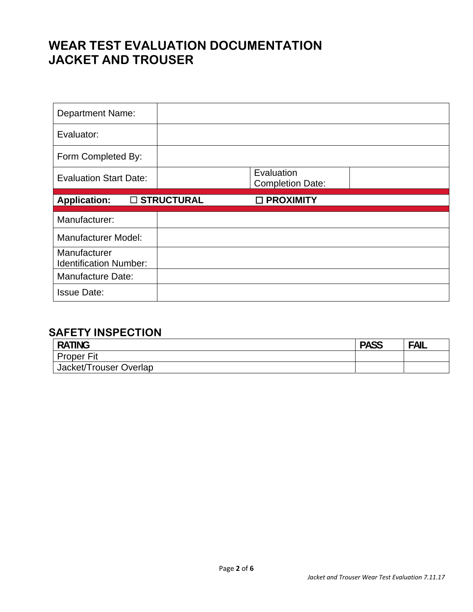# **WEAR TEST EVALUATION DOCUMENTATION JACKET AND TROUSER**

| <b>Department Name:</b>                       |              |                                       |  |
|-----------------------------------------------|--------------|---------------------------------------|--|
| Evaluator:                                    |              |                                       |  |
| Form Completed By:                            |              |                                       |  |
| <b>Evaluation Start Date:</b>                 |              | Evaluation<br><b>Completion Date:</b> |  |
| <b>Application:</b>                           | □ STRUCTURAL | □ PROXIMITY                           |  |
|                                               |              |                                       |  |
| Manufacturer:                                 |              |                                       |  |
| <b>Manufacturer Model:</b>                    |              |                                       |  |
| Manufacturer<br><b>Identification Number:</b> |              |                                       |  |
| Manufacture Date:                             |              |                                       |  |

#### **SAFETY INSPECTION**

| <b>RATING</b>          | <b>PASS</b> | <b>FAIL</b> |
|------------------------|-------------|-------------|
| <b>Proper Fit</b>      |             |             |
| Jacket/Trouser Overlap |             |             |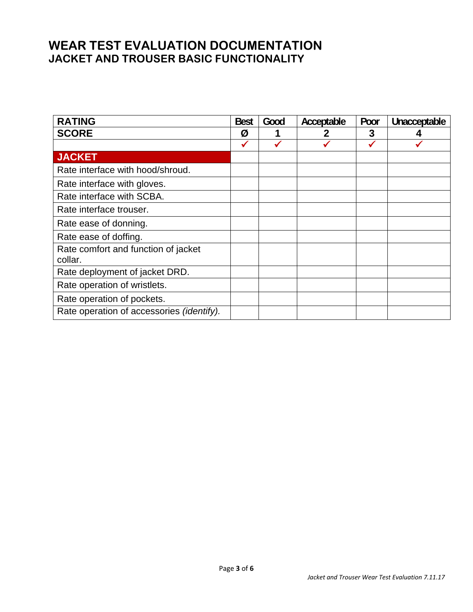#### **WEAR TEST EVALUATION DOCUMENTATION JACKET AND TROUSER BASIC FUNCTIONALITY**

| <b>RATING</b>                                  | <b>Best</b> | Good | Acceptable | Poor | Unacceptable |
|------------------------------------------------|-------------|------|------------|------|--------------|
| <b>SCORE</b>                                   | Ø           |      |            | 3    |              |
|                                                |             | ✔    |            | ✔    |              |
| <b>JACKET</b>                                  |             |      |            |      |              |
| Rate interface with hood/shroud.               |             |      |            |      |              |
| Rate interface with gloves.                    |             |      |            |      |              |
| Rate interface with SCBA.                      |             |      |            |      |              |
| Rate interface trouser.                        |             |      |            |      |              |
| Rate ease of donning.                          |             |      |            |      |              |
| Rate ease of doffing.                          |             |      |            |      |              |
| Rate comfort and function of jacket<br>collar. |             |      |            |      |              |
| Rate deployment of jacket DRD.                 |             |      |            |      |              |
| Rate operation of wristlets.                   |             |      |            |      |              |
| Rate operation of pockets.                     |             |      |            |      |              |
| Rate operation of accessories (identify).      |             |      |            |      |              |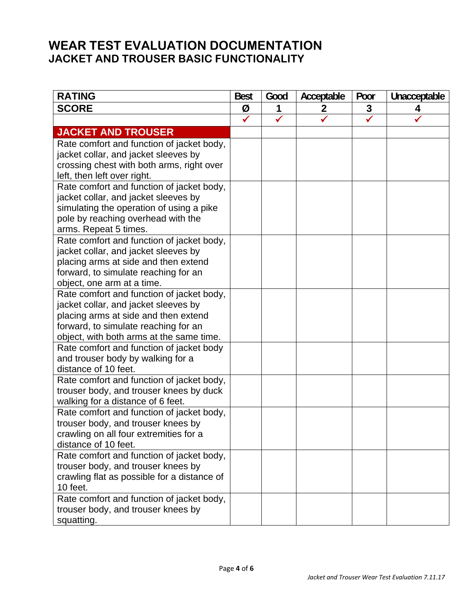#### **WEAR TEST EVALUATION DOCUMENTATION JACKET AND TROUSER BASIC FUNCTIONALITY**

| <b>SCORE</b><br>Ø<br>3<br>1<br>$\mathbf 2$<br>4                              |  |
|------------------------------------------------------------------------------|--|
|                                                                              |  |
| $\checkmark$<br>✓                                                            |  |
| <b>JACKET AND TROUSER</b>                                                    |  |
| Rate comfort and function of jacket body,                                    |  |
| jacket collar, and jacket sleeves by                                         |  |
| crossing chest with both arms, right over                                    |  |
| left, then left over right.                                                  |  |
| Rate comfort and function of jacket body,                                    |  |
| jacket collar, and jacket sleeves by                                         |  |
| simulating the operation of using a pike                                     |  |
| pole by reaching overhead with the                                           |  |
| arms. Repeat 5 times.                                                        |  |
| Rate comfort and function of jacket body,                                    |  |
| jacket collar, and jacket sleeves by                                         |  |
| placing arms at side and then extend<br>forward, to simulate reaching for an |  |
| object, one arm at a time.                                                   |  |
| Rate comfort and function of jacket body,                                    |  |
| jacket collar, and jacket sleeves by                                         |  |
| placing arms at side and then extend                                         |  |
| forward, to simulate reaching for an                                         |  |
| object, with both arms at the same time.                                     |  |
| Rate comfort and function of jacket body                                     |  |
| and trouser body by walking for a                                            |  |
| distance of 10 feet.                                                         |  |
| Rate comfort and function of jacket body,                                    |  |
| trouser body, and trouser knees by duck                                      |  |
| walking for a distance of 6 feet.                                            |  |
| Rate comfort and function of jacket body,                                    |  |
| trouser body, and trouser knees by                                           |  |
| crawling on all four extremities for a                                       |  |
| distance of 10 feet.                                                         |  |
| Rate comfort and function of jacket body,                                    |  |
| trouser body, and trouser knees by                                           |  |
| crawling flat as possible for a distance of                                  |  |
| 10 feet.                                                                     |  |
| Rate comfort and function of jacket body,                                    |  |
| trouser body, and trouser knees by<br>squatting.                             |  |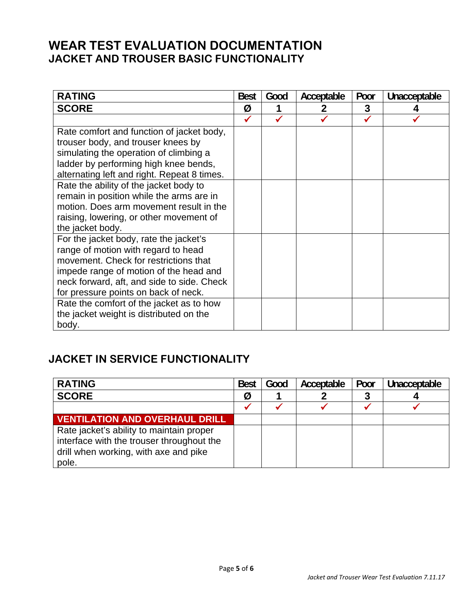#### **WEAR TEST EVALUATION DOCUMENTATION JACKET AND TROUSER BASIC FUNCTIONALITY**

| <b>RATING</b>                               | <b>Best</b> | Good | Acceptable | Poor | Unacceptable |
|---------------------------------------------|-------------|------|------------|------|--------------|
| <b>SCORE</b>                                | Ø           |      |            | 3    |              |
|                                             |             |      |            |      |              |
| Rate comfort and function of jacket body,   |             |      |            |      |              |
| trouser body, and trouser knees by          |             |      |            |      |              |
| simulating the operation of climbing a      |             |      |            |      |              |
| ladder by performing high knee bends,       |             |      |            |      |              |
| alternating left and right. Repeat 8 times. |             |      |            |      |              |
| Rate the ability of the jacket body to      |             |      |            |      |              |
| remain in position while the arms are in    |             |      |            |      |              |
| motion. Does arm movement result in the     |             |      |            |      |              |
| raising, lowering, or other movement of     |             |      |            |      |              |
| the jacket body.                            |             |      |            |      |              |
| For the jacket body, rate the jacket's      |             |      |            |      |              |
| range of motion with regard to head         |             |      |            |      |              |
| movement. Check for restrictions that       |             |      |            |      |              |
| impede range of motion of the head and      |             |      |            |      |              |
| neck forward, aft, and side to side. Check  |             |      |            |      |              |
| for pressure points on back of neck.        |             |      |            |      |              |
| Rate the comfort of the jacket as to how    |             |      |            |      |              |
| the jacket weight is distributed on the     |             |      |            |      |              |
| body.                                       |             |      |            |      |              |

### **JACKET IN SERVICE FUNCTIONALITY**

| <b>RATING</b>                                                                         | <b>Best</b> | Good | Acceptable | Poor | Unacceptable |
|---------------------------------------------------------------------------------------|-------------|------|------------|------|--------------|
| <b>SCORE</b>                                                                          | Ø           |      |            |      |              |
|                                                                                       |             |      |            |      |              |
| <b>VENTILATION AND OVERHAUL DRILL</b>                                                 |             |      |            |      |              |
| Rate jacket's ability to maintain proper<br>interface with the trouser throughout the |             |      |            |      |              |
| drill when working, with axe and pike<br>pole.                                        |             |      |            |      |              |